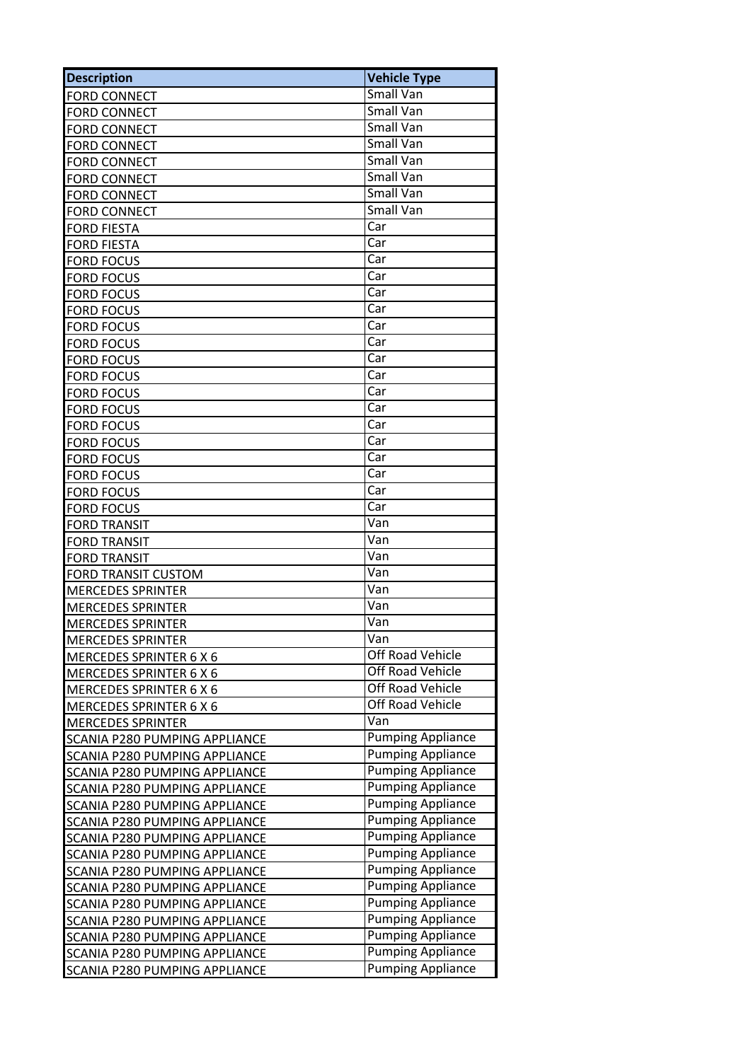| <b>Description</b>                   | <b>Vehicle Type</b>      |
|--------------------------------------|--------------------------|
| <b>FORD CONNECT</b>                  | <b>Small Van</b>         |
| <b>FORD CONNECT</b>                  | Small Van                |
| <b>FORD CONNECT</b>                  | Small Van                |
| <b>FORD CONNECT</b>                  | Small Van                |
| <b>FORD CONNECT</b>                  | <b>Small Van</b>         |
| <b>FORD CONNECT</b>                  | <b>Small Van</b>         |
| <b>FORD CONNECT</b>                  | <b>Small Van</b>         |
| <b>FORD CONNECT</b>                  | Small Van                |
| <b>FORD FIESTA</b>                   | Car                      |
| <b>FORD FIESTA</b>                   | Car                      |
| <b>FORD FOCUS</b>                    | Car                      |
| <b>FORD FOCUS</b>                    | Car                      |
| <b>FORD FOCUS</b>                    | Car                      |
| <b>FORD FOCUS</b>                    | Car                      |
| <b>FORD FOCUS</b>                    | Car                      |
| <b>FORD FOCUS</b>                    | Car                      |
| <b>FORD FOCUS</b>                    | Car                      |
| <b>FORD FOCUS</b>                    | Car                      |
| <b>FORD FOCUS</b>                    | Car                      |
| <b>FORD FOCUS</b>                    | Car                      |
| <b>FORD FOCUS</b>                    | Car                      |
| <b>FORD FOCUS</b>                    | Car                      |
| <b>FORD FOCUS</b>                    | Car                      |
| <b>FORD FOCUS</b>                    | Car                      |
| <b>FORD FOCUS</b>                    | Car                      |
| <b>FORD FOCUS</b>                    | Car                      |
| <b>FORD TRANSIT</b>                  | Van                      |
| <b>FORD TRANSIT</b>                  | Van                      |
| <b>FORD TRANSIT</b>                  | Van                      |
| <b>FORD TRANSIT CUSTOM</b>           | Van                      |
|                                      | Van                      |
| <b>MERCEDES SPRINTER</b>             | Van                      |
| <b>MERCEDES SPRINTER</b>             | Van                      |
| <b>MERCEDES SPRINTER</b>             | Van                      |
| <b>MERCEDES SPRINTER</b>             | Off Road Vehicle         |
| MERCEDES SPRINTER 6 X 6              | <b>Off Road Vehicle</b>  |
| <b>MERCEDES SPRINTER 6 X 6</b>       | Off Road Vehicle         |
| MERCEDES SPRINTER 6 X 6              | Off Road Vehicle         |
| MERCEDES SPRINTER 6 X 6              | Van                      |
| <b>MERCEDES SPRINTER</b>             |                          |
| SCANIA P280 PUMPING APPLIANCE        | Pumping Appliance        |
| SCANIA P280 PUMPING APPLIANCE        | Pumping Appliance        |
| SCANIA P280 PUMPING APPLIANCE        | <b>Pumping Appliance</b> |
| SCANIA P280 PUMPING APPLIANCE        | <b>Pumping Appliance</b> |
| SCANIA P280 PUMPING APPLIANCE        | <b>Pumping Appliance</b> |
| SCANIA P280 PUMPING APPLIANCE        | <b>Pumping Appliance</b> |
| SCANIA P280 PUMPING APPLIANCE        | <b>Pumping Appliance</b> |
| SCANIA P280 PUMPING APPLIANCE        | <b>Pumping Appliance</b> |
| SCANIA P280 PUMPING APPLIANCE        | <b>Pumping Appliance</b> |
| SCANIA P280 PUMPING APPLIANCE        | <b>Pumping Appliance</b> |
| SCANIA P280 PUMPING APPLIANCE        | <b>Pumping Appliance</b> |
| <b>SCANIA P280 PUMPING APPLIANCE</b> | Pumping Appliance        |
| SCANIA P280 PUMPING APPLIANCE        | <b>Pumping Appliance</b> |
| SCANIA P280 PUMPING APPLIANCE        | <b>Pumping Appliance</b> |
| SCANIA P280 PUMPING APPLIANCE        | <b>Pumping Appliance</b> |